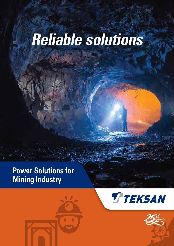# **Reliable solutions**

## **Power Solutions for Mining Industry**





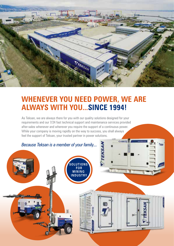

## **WHENEVER YOU NEED POWER, WE ARE ALWAYS WITH YOU...SINCE 1994!**

As Teksan, we are always there for you with our quality solutions designed for your requirements and our 7/24 fast technical support and maintenance services provided after-sales whenever and wherever you require the support of a continuous power. While your company is moving rapidly on the way to success, you shall always feel the support of Teksan, your trusted partner in power solutions.

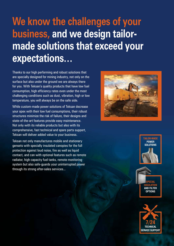## **We know the challenges of your business, and we design tailormade solutions that exceed your expectations…**

Thanks to our high performing and robust solutions that are specially designed for mining industry, not only on the surface but also under the ground we are always there for you. With Teksan's quality products that have low fuel consumption, high efficiency rates even under the most challenging conditions such as dust, vibration, high or low temperature, you will always be on the safe side.

While custom-made power solutions of Teksan decrease your opex with their low fuel consumptions, their robust structures minimize the risk of failure, their designs and state-of-the-art features provide easy maintenance. Not only with its reliable products but also with its comprehensive, fast technical and spare parts support, Teksan will deliver added value to your business.

Teksan not only manufactures mobile and stationary gensets with specially insulated canopies for the full protection against loud noise, fire as well as liquid contact, and can with optional features such as remote radiator, high capacity fuel tanks, remote monitoring system but also safe-guards your uninterrupted power through its strong after-sales services...







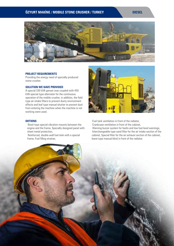#### **ÖZYURT MAKİNE / MOBILE STONE CRUSHER / TURKEY DIESEL**



#### **PROJECT REQUIREMENTS**

Providing the energy need of specially produced stone crusher.

#### **SOLUTION WE HAVE PROVIDED**

A special 330 kVA genset was coupled with 450 kVA special type alternator for the continuous operation of the mobile crusher, in addition, the field type air intake filters to prevent dusty environment effects and leaf type manual shutter to prevent dust from entering the machine when the machine is not working were used.

#### **OHTIONS**

- Bowl-type special vibration mounts between the engine and the frame, Specially designed panel with sheet metal protection,
- Reinforced, double-wall fuel tank with a special frame, Fuel filling strainer,



- Fuel tank ventilation in front of the radiator,
- Crankcase ventilation in front of the cabinet,
- Warning buzzer system for faults and low fuel level warnings,
- Interchangeable type sand filter for the air intake section of the cabinet, Special filter for the air exhaust section of the cabinet, leave type manual blind in front of the radiator.